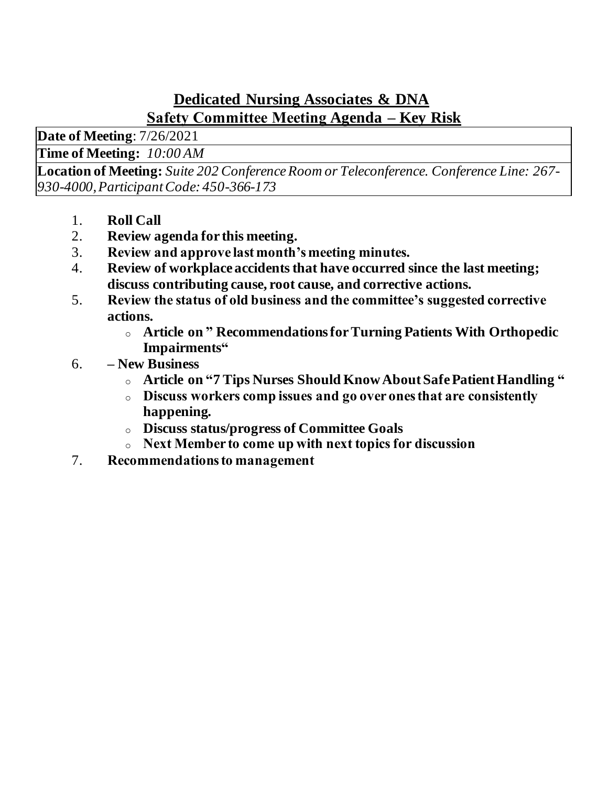## **Dedicated Nursing Associates & DNA Safety Committee Meeting Agenda – Key Risk**

**Date of Meeting**: 7/26/2021

**Time of Meeting:** *10:00 AM*

**Location of Meeting:** *Suite 202 Conference Room or Teleconference. Conference Line: 267- 930-4000, Participant Code: 450-366-173*

- 1. **Roll Call**
- 2. **Review agenda for this meeting.**
- 3. **Review and approve last month's meeting minutes.**
- 4. **Review of workplace accidents that have occurred since the last meeting; discuss contributing cause, root cause, and corrective actions.**
- 5. **Review the status of old business and the committee's suggested corrective actions.**
	- <sup>o</sup> **Article on " Recommendations for Turning Patients With Orthopedic Impairments"**
- 6. **– New Business**
	- <sup>o</sup> **Article on "7 Tips Nurses Should Know About Safe Patient Handling "**
	- <sup>o</sup> **Discuss workers comp issues and go over ones that are consistently happening.**
	- <sup>o</sup> **Discuss status/progress of Committee Goals**
	- <sup>o</sup> **Next Member to come up with next topics for discussion**
- 7. **Recommendations to management**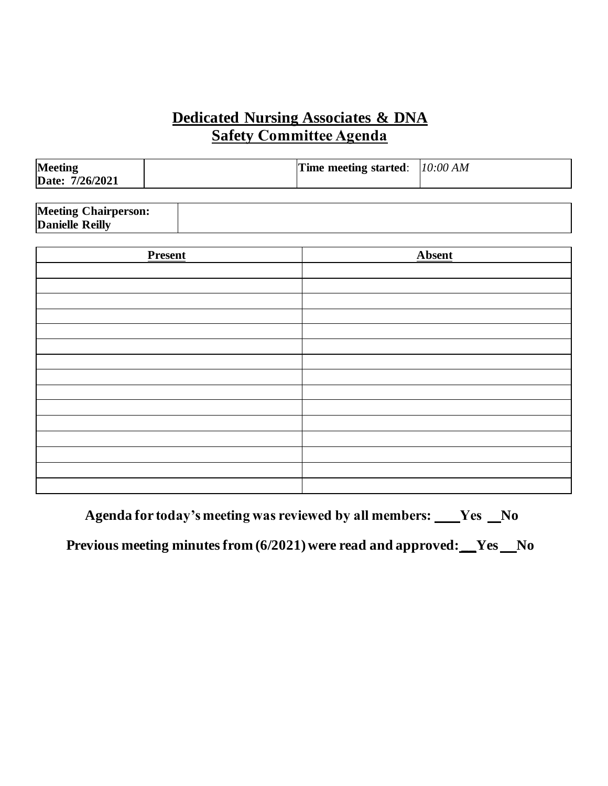### **Dedicated Nursing Associates & DNA Safety Committee Agenda**

| Meeting<br>Date: 7/26/2021  | Time meeting started: | 10:00 AM      |
|-----------------------------|-----------------------|---------------|
| <b>Meeting Chairperson:</b> |                       |               |
| Danielle Reilly             |                       |               |
| <b>Present</b>              |                       | <b>Absent</b> |
|                             |                       |               |
|                             |                       |               |
|                             |                       |               |
|                             |                       |               |
|                             |                       |               |
|                             |                       |               |
|                             |                       |               |
|                             |                       |               |
|                             |                       |               |
|                             |                       |               |

**Agenda for today's meeting was reviewed by all members:  \_\_\_Yes       No**

**Previous meeting minutes from (6/2021) were read and approved: Ves No**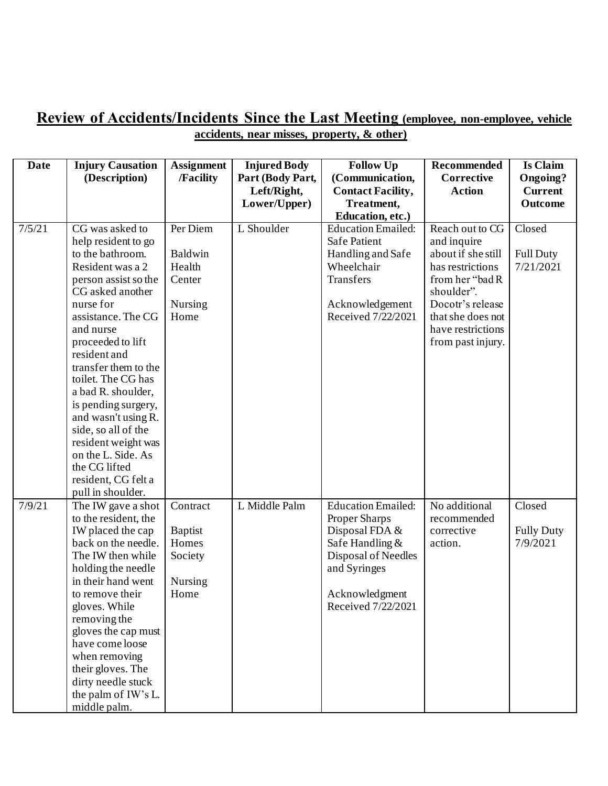#### **Review of Accidents/Incidents Since the Last Meeting (employee, non-employee, vehicle accidents, near misses, property, & other)**

| <b>Date</b> | <b>Injury Causation</b><br>(Description)                                                                                                                                                                                                                                                                                                                                                                                                                           | <b>Assignment</b><br>/Facility                                    | <b>Injured Body</b><br>Part (Body Part, | <b>Follow Up</b><br>(Communication,                                                                                                                            | <b>Recommended</b><br>Corrective                                                                                                                                                             | <b>Is Claim</b><br>Ongoing?             |
|-------------|--------------------------------------------------------------------------------------------------------------------------------------------------------------------------------------------------------------------------------------------------------------------------------------------------------------------------------------------------------------------------------------------------------------------------------------------------------------------|-------------------------------------------------------------------|-----------------------------------------|----------------------------------------------------------------------------------------------------------------------------------------------------------------|----------------------------------------------------------------------------------------------------------------------------------------------------------------------------------------------|-----------------------------------------|
|             |                                                                                                                                                                                                                                                                                                                                                                                                                                                                    |                                                                   | Left/Right,<br>Lower/Upper)             | <b>Contact Facility,</b><br>Treatment,                                                                                                                         | <b>Action</b>                                                                                                                                                                                | <b>Current</b><br><b>Outcome</b>        |
|             |                                                                                                                                                                                                                                                                                                                                                                                                                                                                    |                                                                   |                                         | Education, etc.)                                                                                                                                               |                                                                                                                                                                                              |                                         |
| 7/5/21      | CG was asked to<br>help resident to go<br>to the bathroom.<br>Resident was a 2<br>person assist so the<br>CG asked another<br>nurse for<br>assistance. The CG<br>and nurse<br>proceeded to lift<br>resident and<br>transfer them to the<br>toilet. The CG has<br>a bad R. shoulder,<br>is pending surgery,<br>and wasn't using R.<br>side, so all of the<br>resident weight was<br>on the L. Side. As<br>the CG lifted<br>resident, CG felt a<br>pull in shoulder. | Per Diem<br>Baldwin<br>Health<br>Center<br>Nursing<br>Home        | L Shoulder                              | <b>Education Emailed:</b><br><b>Safe Patient</b><br>Handling and Safe<br>Wheelchair<br>Transfers<br>Acknowledgement<br>Received 7/22/2021                      | Reach out to CG<br>and inquire<br>about if she still<br>has restrictions<br>from her "bad R<br>shoulder".<br>Docotr's release<br>that she does not<br>have restrictions<br>from past injury. | Closed<br><b>Full Duty</b><br>7/21/2021 |
| 7/9/21      | The IW gave a shot<br>to the resident, the<br>IW placed the cap<br>back on the needle.<br>The IW then while<br>holding the needle<br>in their hand went<br>to remove their<br>gloves. While<br>removing the<br>gloves the cap must<br>have come loose<br>when removing<br>their gloves. The<br>dirty needle stuck<br>the palm of IW's L.<br>middle palm.                                                                                                           | Contract<br><b>Baptist</b><br>Homes<br>Society<br>Nursing<br>Home | L Middle Palm                           | <b>Education Emailed:</b><br>Proper Sharps<br>Disposal FDA &<br>Safe Handling &<br>Disposal of Needles<br>and Syringes<br>Acknowledgment<br>Received 7/22/2021 | No additional<br>recommended<br>corrective<br>action.                                                                                                                                        | Closed<br><b>Fully Duty</b><br>7/9/2021 |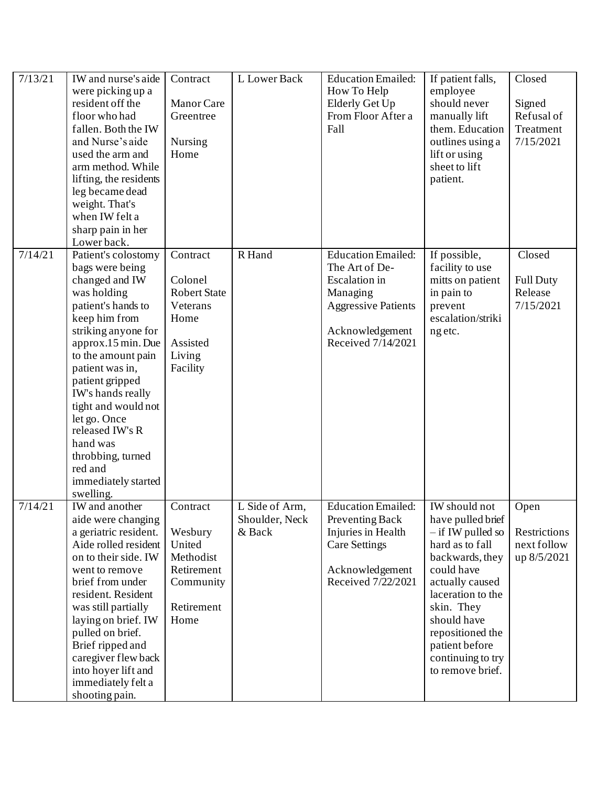| 7/13/21 | IW and nurse's aide<br>were picking up a<br>resident off the<br>floor who had<br>fallen. Both the IW<br>and Nurse's aide<br>used the arm and<br>arm method. While<br>lifting, the residents<br>leg became dead<br>weight. That's<br>when IW felt a<br>sharp pain in her<br>Lower back.                                                                                                 | Contract<br>Manor Care<br>Greentree<br>Nursing<br>Home                                           | L Lower Back                               | <b>Education Emailed:</b><br>How To Help<br>Elderly Get Up<br>From Floor After a<br>Fall                                                               | If patient falls,<br>employee<br>should never<br>manually lift<br>them. Education<br>outlines using a<br>lift or using<br>sheet to lift<br>patient.                                                                                                               | Closed<br>Signed<br>Refusal of<br>Treatment<br>7/15/2021 |
|---------|----------------------------------------------------------------------------------------------------------------------------------------------------------------------------------------------------------------------------------------------------------------------------------------------------------------------------------------------------------------------------------------|--------------------------------------------------------------------------------------------------|--------------------------------------------|--------------------------------------------------------------------------------------------------------------------------------------------------------|-------------------------------------------------------------------------------------------------------------------------------------------------------------------------------------------------------------------------------------------------------------------|----------------------------------------------------------|
| 7/14/21 | Patient's colostomy<br>bags were being<br>changed and IW<br>was holding<br>patient's hands to<br>keep him from<br>striking anyone for<br>approx.15 min. Due<br>to the amount pain<br>patient was in,<br>patient gripped<br>IW's hands really<br>tight and would not<br>let go. Once<br>released IW's R<br>hand was<br>throbbing, turned<br>red and<br>immediately started<br>swelling. | Contract<br>Colonel<br><b>Robert State</b><br>Veterans<br>Home<br>Assisted<br>Living<br>Facility | R Hand                                     | <b>Education Emailed:</b><br>The Art of De-<br><b>Escalation</b> in<br>Managing<br><b>Aggressive Patients</b><br>Acknowledgement<br>Received 7/14/2021 | If possible,<br>facility to use<br>mitts on patient<br>in pain to<br>prevent<br>escalation/striki<br>ng etc.                                                                                                                                                      | Closed<br><b>Full Duty</b><br>Release<br>7/15/2021       |
| 7/14/21 | IW and another<br>aide were changing<br>a geriatric resident.<br>Aide rolled resident<br>on to their side. IW<br>went to remove<br>brief from under<br>resident. Resident<br>was still partially<br>laying on brief. IW<br>pulled on brief.<br>Brief ripped and<br>caregiver flew back<br>into hoyer lift and<br>immediately felt a<br>shooting pain.                                  | Contract<br>Wesbury<br>United<br>Methodist<br>Retirement<br>Community<br>Retirement<br>Home      | L Side of Arm,<br>Shoulder, Neck<br>& Back | <b>Education Emailed:</b><br>Preventing Back<br>Injuries in Health<br><b>Care Settings</b><br>Acknowledgement<br>Received 7/22/2021                    | IW should not<br>have pulled brief<br>$-$ if IW pulled so<br>hard as to fall<br>backwards, they<br>could have<br>actually caused<br>laceration to the<br>skin. They<br>should have<br>repositioned the<br>patient before<br>continuing to try<br>to remove brief. | Open<br>Restrictions<br>next follow<br>up 8/5/2021       |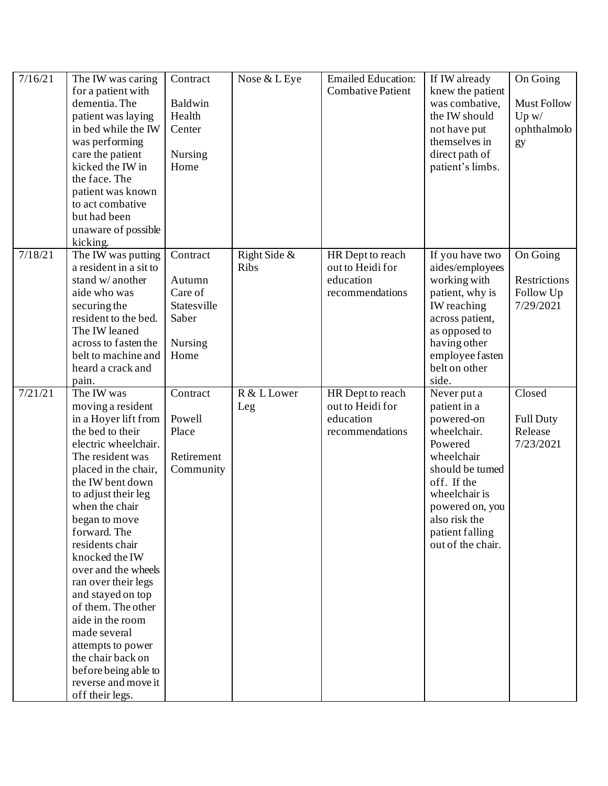| 7/16/21 | The IW was caring<br>for a patient with<br>dementia. The<br>patient was laying<br>in bed while the IW<br>was performing<br>care the patient<br>kicked the IW in<br>the face. The<br>patient was known<br>to act combative<br>but had been<br>unaware of possible<br>kicking.                                                                                                                                                                                                                                                | Contract<br>Baldwin<br>Health<br>Center<br>Nursing<br>Home               | Nose & L Eye                | <b>Emailed Education:</b><br><b>Combative Patient</b>                | If IW already<br>knew the patient<br>was combative,<br>the IW should<br>not have put<br>themselves in<br>direct path of<br>patient's limbs.                                                                       | On Going<br>Must Follow<br>Up w/<br>ophthalmolo<br>gy     |
|---------|-----------------------------------------------------------------------------------------------------------------------------------------------------------------------------------------------------------------------------------------------------------------------------------------------------------------------------------------------------------------------------------------------------------------------------------------------------------------------------------------------------------------------------|--------------------------------------------------------------------------|-----------------------------|----------------------------------------------------------------------|-------------------------------------------------------------------------------------------------------------------------------------------------------------------------------------------------------------------|-----------------------------------------------------------|
| 7/18/21 | The IW was putting<br>a resident in a sit to<br>stand w/ another<br>aide who was<br>securing the<br>resident to the bed.<br>The IW leaned<br>across to fasten the<br>belt to machine and<br>heard a crack and<br>pain.                                                                                                                                                                                                                                                                                                      | Contract<br>Autumn<br>Care of<br>Statesville<br>Saber<br>Nursing<br>Home | Right Side &<br><b>Ribs</b> | HR Dept to reach<br>out to Heidi for<br>education<br>recommendations | If you have two<br>aides/employees<br>working with<br>patient, why is<br>IW reaching<br>across patient,<br>as opposed to<br>having other<br>employee fasten<br>belt on other<br>side.                             | On Going<br><b>Restrictions</b><br>Follow Up<br>7/29/2021 |
| 7/21/21 | The IW was<br>moving a resident<br>in a Hoyer lift from<br>the bed to their<br>electric wheelchair.<br>The resident was<br>placed in the chair,<br>the IW bent down<br>to adjust their leg<br>when the chair<br>began to move<br>forward. The<br>residents chair<br>knocked the IW<br>over and the wheels<br>ran over their legs<br>and stayed on top<br>of them. The other<br>aide in the room<br>made several<br>attempts to power<br>the chair back on<br>before being able to<br>reverse and move it<br>off their legs. | Contract<br>Powell<br>Place<br>Retirement<br>Community                   | R & L Lower<br>Leg          | HR Dept to reach<br>out to Heidi for<br>education<br>recommendations | Never put a<br>patient in a<br>powered-on<br>wheelchair.<br>Powered<br>wheelchair<br>should be turned<br>off. If the<br>wheelchair is<br>powered on, you<br>also risk the<br>patient falling<br>out of the chair. | Closed<br><b>Full Duty</b><br>Release<br>7/23/2021        |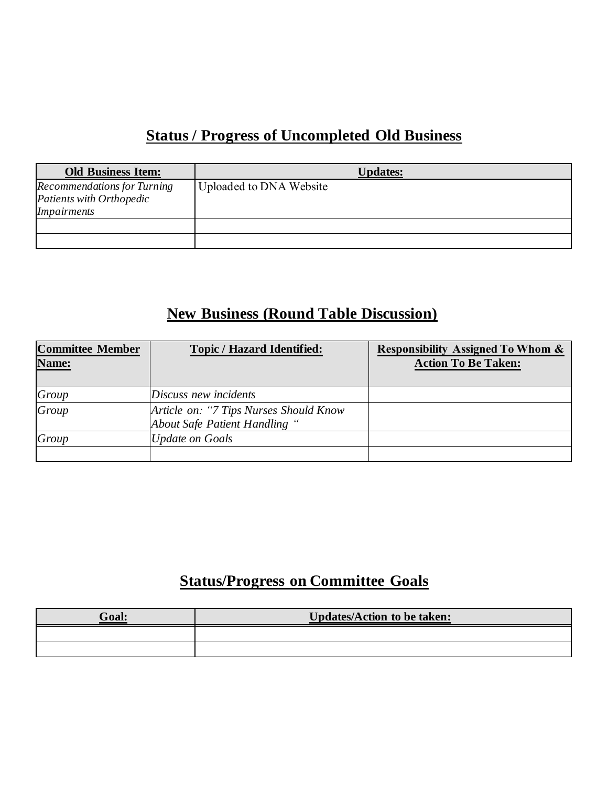# **Status / Progress of Uncompleted Old Business**

| <b>Old Business Item:</b>                                                     | <b>Updates:</b>         |
|-------------------------------------------------------------------------------|-------------------------|
| <b>Recommendations for Turning</b><br>Patients with Orthopedic<br>Impairments | Uploaded to DNA Website |
|                                                                               |                         |

## **New Business (Round Table Discussion)**

| <b>Committee Member</b><br>Name: | <b>Topic / Hazard Identified:</b>                                       | <b>Responsibility Assigned To Whom &amp;</b><br><b>Action To Be Taken:</b> |
|----------------------------------|-------------------------------------------------------------------------|----------------------------------------------------------------------------|
| Group                            | Discuss new incidents                                                   |                                                                            |
| Group                            | Article on: "7 Tips Nurses Should Know<br>About Safe Patient Handling " |                                                                            |
| Group                            | <b>Update on Goals</b>                                                  |                                                                            |
|                                  |                                                                         |                                                                            |

# **Status/Progress on Committee Goals**

| Goal: | <b>Updates/Action to be taken:</b> |
|-------|------------------------------------|
|       |                                    |
|       |                                    |